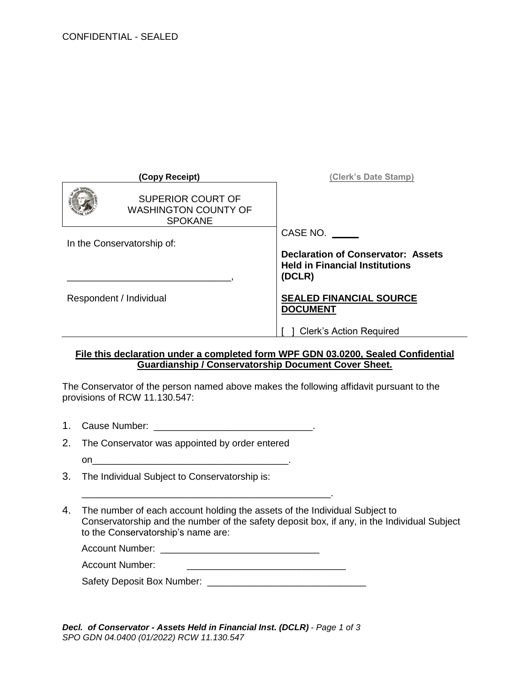| (Copy Receipt)                                                            | (Clerk's Date Stamp)                                                                         |
|---------------------------------------------------------------------------|----------------------------------------------------------------------------------------------|
| <b>SUPERIOR COURT OF</b><br><b>WASHINGTON COUNTY OF</b><br><b>SPOKANE</b> |                                                                                              |
|                                                                           | CASE NO.                                                                                     |
| In the Conservatorship of:                                                |                                                                                              |
|                                                                           | <b>Declaration of Conservator: Assets</b><br><b>Held in Financial Institutions</b><br>(DCLR) |
| Respondent / Individual                                                   | <b>SEALED FINANCIAL SOURCE</b><br><b>DOCUMENT</b>                                            |
|                                                                           | <b>Clerk's Action Required</b>                                                               |

## **File this declaration under a completed form WPF GDN 03.0200, Sealed Confidential Guardianship / Conservatorship Document Cover Sheet.**

The Conservator of the person named above makes the following affidavit pursuant to the provisions of RCW 11.130.547:

- 1. Cause Number: \_\_\_\_\_\_\_\_\_\_\_\_\_\_\_\_\_\_\_\_\_\_\_\_\_\_\_\_\_\_\_\_\_\_\_.
- 2. The Conservator was appointed by order entered on\_\_\_\_\_\_\_\_\_\_\_\_\_\_\_\_\_\_\_\_\_\_\_\_\_\_\_\_\_\_\_\_\_\_\_\_\_.
- 3. The Individual Subject to Conservatorship is:
- 4. The number of each account holding the assets of the Individual Subject to Conservatorship and the number of the safety deposit box, if any, in the Individual Subject to the Conservatorship's name are:

| <b>Account Number:</b> |  |
|------------------------|--|
|                        |  |

\_\_\_\_\_\_\_\_\_\_\_\_\_\_\_\_\_\_\_\_\_\_\_\_\_\_\_\_\_\_\_\_\_\_\_\_\_\_\_\_\_\_\_\_\_\_\_.

| Safety Deposit Box Number: |  |
|----------------------------|--|
|----------------------------|--|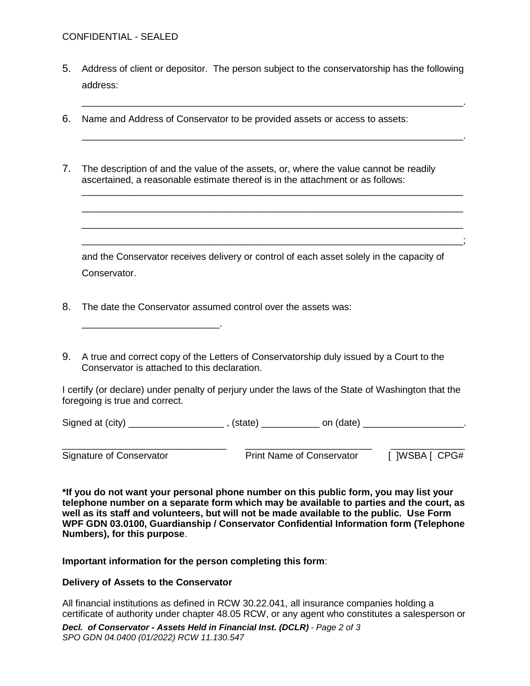5. Address of client or depositor. The person subject to the conservatorship has the following address:

\_\_\_\_\_\_\_\_\_\_\_\_\_\_\_\_\_\_\_\_\_\_\_\_\_\_\_\_\_\_\_\_\_\_\_\_\_\_\_\_\_\_\_\_\_\_\_\_\_\_\_\_\_\_\_\_\_\_\_\_\_\_\_\_\_\_\_\_\_\_\_\_.

\_\_\_\_\_\_\_\_\_\_\_\_\_\_\_\_\_\_\_\_\_\_\_\_\_\_\_\_\_\_\_\_\_\_\_\_\_\_\_\_\_\_\_\_\_\_\_\_\_\_\_\_\_\_\_\_\_\_\_\_\_\_\_\_\_\_\_\_\_\_\_\_.

\_\_\_\_\_\_\_\_\_\_\_\_\_\_\_\_\_\_\_\_\_\_\_\_\_\_\_\_\_\_\_\_\_\_\_\_\_\_\_\_\_\_\_\_\_\_\_\_\_\_\_\_\_\_\_\_\_\_\_\_\_\_\_\_\_\_\_\_\_\_\_\_ \_\_\_\_\_\_\_\_\_\_\_\_\_\_\_\_\_\_\_\_\_\_\_\_\_\_\_\_\_\_\_\_\_\_\_\_\_\_\_\_\_\_\_\_\_\_\_\_\_\_\_\_\_\_\_\_\_\_\_\_\_\_\_\_\_\_\_\_\_\_\_\_ \_\_\_\_\_\_\_\_\_\_\_\_\_\_\_\_\_\_\_\_\_\_\_\_\_\_\_\_\_\_\_\_\_\_\_\_\_\_\_\_\_\_\_\_\_\_\_\_\_\_\_\_\_\_\_\_\_\_\_\_\_\_\_\_\_\_\_\_\_\_\_\_ \_\_\_\_\_\_\_\_\_\_\_\_\_\_\_\_\_\_\_\_\_\_\_\_\_\_\_\_\_\_\_\_\_\_\_\_\_\_\_\_\_\_\_\_\_\_\_\_\_\_\_\_\_\_\_\_\_\_\_\_\_\_\_\_\_\_\_\_\_\_\_\_;

- 6. Name and Address of Conservator to be provided assets or access to assets:
- 7. The description of and the value of the assets, or, where the value cannot be readily ascertained, a reasonable estimate thereof is in the attachment or as follows:

and the Conservator receives delivery or control of each asset solely in the capacity of Conservator.

- 8. The date the Conservator assumed control over the assets was:
- 9. A true and correct copy of the Letters of Conservatorship duly issued by a Court to the Conservator is attached to this declaration.

I certify (or declare) under penalty of perjury under the laws of the State of Washington that the foregoing is true and correct.

| Signed at (city) | state) | on (date) |  |
|------------------|--------|-----------|--|
|------------------|--------|-----------|--|

\_\_\_\_\_\_\_\_\_\_\_\_\_\_\_\_\_\_\_\_\_\_\_\_\_\_\_\_\_\_\_ \_\_\_\_\_\_\_\_\_\_\_\_\_\_\_\_\_\_\_\_\_\_\_\_ \_\_\_\_\_\_\_\_\_\_\_\_\_\_ Signature of Conservator **Print Name of Conservator** [ ]WSBA [ CPG#

**\*If you do not want your personal phone number on this public form, you may list your telephone number on a separate form which may be available to parties and the court, as well as its staff and volunteers, but will not be made available to the public. Use Form WPF GDN 03.0100, Guardianship / Conservator Confidential Information form (Telephone Numbers), for this purpose**.

**Important information for the person completing this form**:

## **Delivery of Assets to the Conservator**

\_\_\_\_\_\_\_\_\_\_\_\_\_\_\_\_\_\_\_\_\_\_\_\_\_\_.

All financial institutions as defined in RCW 30.22.041, all insurance companies holding a certificate of authority under chapter 48.05 RCW, or any agent who constitutes a salesperson or

*Decl. of Conservator - Assets Held in Financial Inst. (DCLR) - Page 2 of 3 SPO GDN 04.0400 (01/2022) RCW 11.130.547*